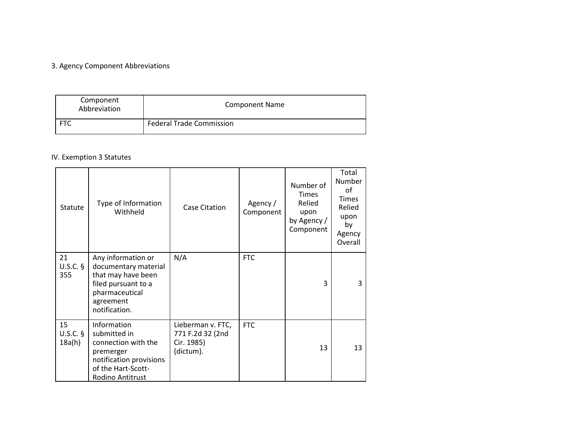## 3. Agency Component Abbreviations

| Component<br>Abbreviation | <b>Component Name</b>           |  |
|---------------------------|---------------------------------|--|
|                           | <b>Federal Trade Commission</b> |  |

# IV. Exemption 3 Statutes

| Statute                    | Type of Information<br>Withheld                                                                                                         | Case Citation                                                    | Agency /<br>Component | Number of<br><b>Times</b><br>Relied<br>upon<br>by Agency /<br>Component | Total<br>Number<br>οf<br><b>Times</b><br>Relied<br>upon<br>by<br>Agency<br>Overall |
|----------------------------|-----------------------------------------------------------------------------------------------------------------------------------------|------------------------------------------------------------------|-----------------------|-------------------------------------------------------------------------|------------------------------------------------------------------------------------|
| 21<br>$U.S.C.$ §<br>355    | Any information or<br>documentary material<br>that may have been<br>filed pursuant to a<br>pharmaceutical<br>agreement<br>notification. | N/A                                                              | <b>FTC</b>            | 3                                                                       | 3                                                                                  |
| 15<br>$U.S.C.$ §<br>18a(h) | Information<br>submitted in<br>connection with the<br>premerger<br>notification provisions<br>of the Hart-Scott-<br>Rodino Antitrust    | Lieberman v. FTC,<br>771 F.2d 32 (2nd<br>Cir. 1985)<br>(dictum). | <b>FTC</b>            | 13                                                                      | 13                                                                                 |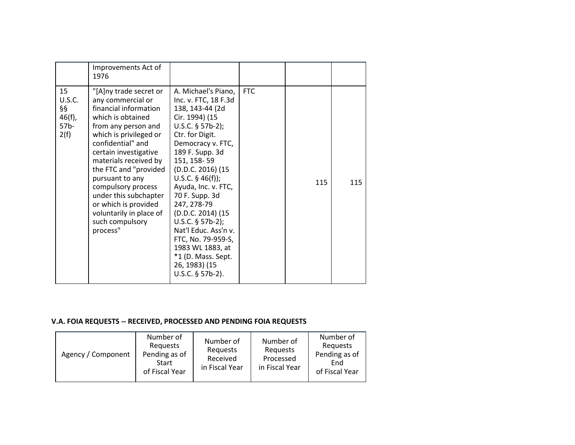|                                                                   | Improvements Act of<br>1976                                                                                                                                                                                                                                                                                                                                                                    |                                                                                                                                                                                                                                                                                                                                                                                                                                                               |            |     |     |
|-------------------------------------------------------------------|------------------------------------------------------------------------------------------------------------------------------------------------------------------------------------------------------------------------------------------------------------------------------------------------------------------------------------------------------------------------------------------------|---------------------------------------------------------------------------------------------------------------------------------------------------------------------------------------------------------------------------------------------------------------------------------------------------------------------------------------------------------------------------------------------------------------------------------------------------------------|------------|-----|-----|
| 15<br><b>U.S.C.</b><br>§§<br>$46(f)$ ,<br>57 <sub>b</sub><br>2(f) | "[A]ny trade secret or<br>any commercial or<br>financial information<br>which is obtained<br>from any person and<br>which is privileged or<br>confidential" and<br>certain investigative<br>materials received by<br>the FTC and "provided<br>pursuant to any<br>compulsory process<br>under this subchapter<br>or which is provided<br>voluntarily in place of<br>such compulsory<br>process" | A. Michael's Piano,<br>Inc. v. FTC, 18 F.3d<br>138, 143-44 (2d<br>Cir. 1994) (15<br>$U.S.C.$ § 57b-2);<br>Ctr. for Digit.<br>Democracy v. FTC,<br>189 F. Supp. 3d<br>151, 158-59<br>(D.D.C. 2016) (15<br>U.S.C. $§$ 46(f));<br>Ayuda, Inc. v. FTC,<br>70 F. Supp. 3d<br>247, 278-79<br>(D.D.C. 2014) (15<br>U.S.C. $§$ 57b-2);<br>Nat'l Educ. Ass'n v.<br>FTC, No. 79-959-S,<br>1983 WL 1883, at<br>*1 (D. Mass. Sept.<br>26, 1983) (15<br>$U.S.C.$ § 57b-2). | <b>FTC</b> | 115 | 115 |

#### **V.A. FOIA REQUESTS -- RECEIVED, PROCESSED AND PENDING FOIA REQUESTS**

| Agency / Component | Number of<br>Reguests<br>Pending as of<br>Start<br>of Fiscal Year | Number of<br>Reguests<br>Received<br>in Fiscal Year | Number of<br>Reguests<br>Processed<br>in Fiscal Year | Number of<br>Requests<br>Pending as of<br>End<br>of Fiscal Year |
|--------------------|-------------------------------------------------------------------|-----------------------------------------------------|------------------------------------------------------|-----------------------------------------------------------------|
|--------------------|-------------------------------------------------------------------|-----------------------------------------------------|------------------------------------------------------|-----------------------------------------------------------------|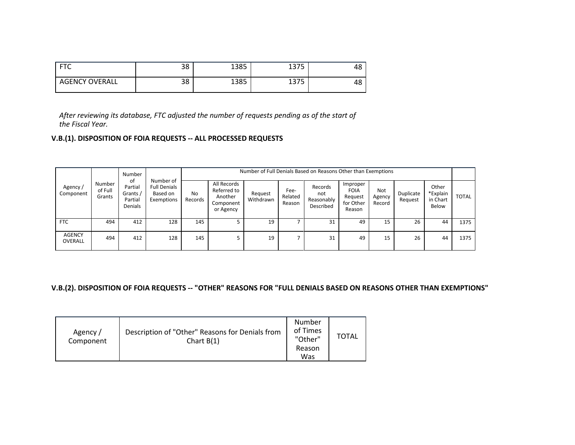| $  -$                 | ၁၀<br>38 | 1385 | , –, –<br>- J / J | 4১ |
|-----------------------|----------|------|-------------------|----|
| <b>AGENCY OVERALL</b> | ၁၀<br>38 | 1385 | חדו<br>- J / J    | 4১ |

*After reviewing its database, FTC adjusted the number of requests pending as of the start of the Fiscal Year.*

### **V.B.(1). DISPOSITION OF FOIA REQUESTS -- ALL PROCESSED REQUESTS**

|                          | Number                      |                                                 |                                                            |                           | Number of Full Denials Based on Reasons Other than Exemptions   |                      |                           |                                           |                                                           |                                |                      |                                        |              |
|--------------------------|-----------------------------|-------------------------------------------------|------------------------------------------------------------|---------------------------|-----------------------------------------------------------------|----------------------|---------------------------|-------------------------------------------|-----------------------------------------------------------|--------------------------------|----------------------|----------------------------------------|--------------|
| Agency/<br>Component     | Number<br>of Full<br>Grants | 0f<br>Partial<br>Grants /<br>Partial<br>Denials | Number of<br><b>Full Denials</b><br>Based on<br>Exemptions | N <sub>0</sub><br>Records | All Records<br>Referred to<br>Another<br>Component<br>or Agency | Request<br>Withdrawn | Fee-<br>Related<br>Reason | Records<br>not<br>Reasonably<br>Described | Improper<br><b>FOIA</b><br>Request<br>for Other<br>Reason | <b>Not</b><br>Agency<br>Record | Duplicate<br>Request | Other<br>*Explain<br>in Chart<br>Below | <b>TOTAL</b> |
| <b>FTC</b>               | 494                         | 412                                             | 128                                                        | 145                       |                                                                 | 19                   |                           | 31                                        | 49                                                        | 15                             | 26                   | 44                                     | 1375         |
| <b>AGENCY</b><br>OVERALL | 494                         | 412                                             | 128                                                        | 145                       |                                                                 | 19                   |                           | 31                                        | 49                                                        | 15                             | 26                   | 44                                     | 1375         |

#### **V.B.(2). DISPOSITION OF FOIA REQUESTS -- "OTHER" REASONS FOR "FULL DENIALS BASED ON REASONS OTHER THAN EXEMPTIONS"**

| Agency/<br>Component | Description of "Other" Reasons for Denials from<br>Chart $B(1)$ | Number<br>of Times<br>"Other"<br>Reason<br>Was | TOTAL |
|----------------------|-----------------------------------------------------------------|------------------------------------------------|-------|
|----------------------|-----------------------------------------------------------------|------------------------------------------------|-------|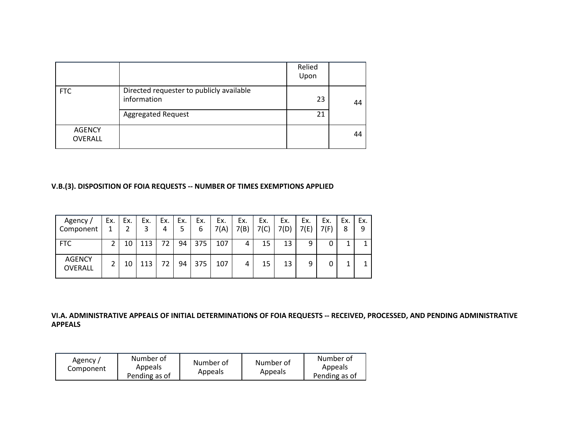|                          |                                                         | Relied<br>Upon |    |
|--------------------------|---------------------------------------------------------|----------------|----|
| <b>FTC</b>               | Directed requester to publicly available<br>information | 23             | 44 |
|                          | <b>Aggregated Request</b>                               | 21             |    |
| <b>AGENCY</b><br>OVERALL |                                                         |                | 44 |

## **V.B.(3). DISPOSITION OF FOIA REQUESTS -- NUMBER OF TIMES EXEMPTIONS APPLIED**

| Agency /<br>Component           | Ex. | Ex. | Ex. | Ex.<br>4 | Ex. | Ex.<br>6 | Ex.<br>7(A) | Ex.<br>7(B) | Ex.<br>7(C) | Ex.<br>7(D) | Ex.<br>7(E) | Ex.<br>7(F) | Ex.<br>8 | Ex.<br>9 |
|---------------------------------|-----|-----|-----|----------|-----|----------|-------------|-------------|-------------|-------------|-------------|-------------|----------|----------|
| <b>FTC</b>                      |     | 10  | 113 | 72       | 94  | 375      | 107         |             | 15          | 13          | 9           |             |          |          |
| <b>AGENCY</b><br><b>OVERALL</b> |     | 10  | 113 | 72       | 94  | 375      | 107         |             | 15          | 13          | 9           |             |          |          |

### **VI.A. ADMINISTRATIVE APPEALS OF INITIAL DETERMINATIONS OF FOIA REQUESTS -- RECEIVED, PROCESSED, AND PENDING ADMINISTRATIVE APPEALS**

| Agency /<br>Component | Number of<br>Appeals<br>Pending as of | Number of<br>Appeals | Number of<br>Appeals | Number of<br>Appeals<br>Pending as of |
|-----------------------|---------------------------------------|----------------------|----------------------|---------------------------------------|
|-----------------------|---------------------------------------|----------------------|----------------------|---------------------------------------|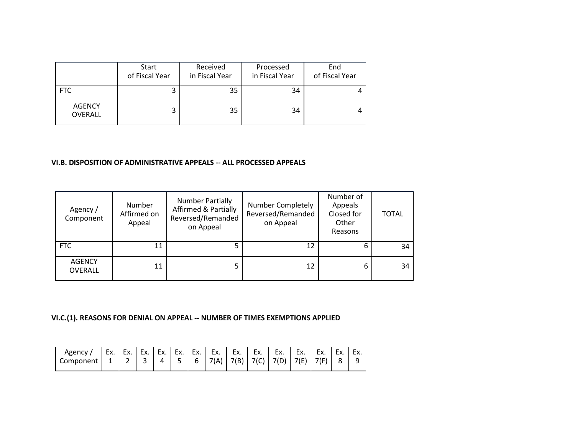|                          | Start<br>of Fiscal Year | Received<br>in Fiscal Year | Processed<br>in Fiscal Year | End<br>of Fiscal Year |
|--------------------------|-------------------------|----------------------------|-----------------------------|-----------------------|
| FTC                      | 3                       | 35                         | 34                          |                       |
| <b>AGENCY</b><br>OVERALL | 3                       | 35                         | 34                          |                       |

#### **VI.B. DISPOSITION OF ADMINISTRATIVE APPEALS -- ALL PROCESSED APPEALS**

| Agency /<br>Component    | Number<br>Affirmed on<br>Appeal | <b>Number Partially</b><br><b>Affirmed &amp; Partially</b><br>Reversed/Remanded<br>on Appeal | Number Completely<br>Reversed/Remanded<br>on Appeal | Number of<br>Appeals<br>Closed for<br>Other<br>Reasons | <b>TOTAL</b> |
|--------------------------|---------------------------------|----------------------------------------------------------------------------------------------|-----------------------------------------------------|--------------------------------------------------------|--------------|
| <b>FTC</b>               | 11                              |                                                                                              |                                                     | 6                                                      | 34           |
| <b>AGENCY</b><br>OVERALL | 11                              |                                                                                              | 12                                                  | 6                                                      | 34           |

**VI.C.(1). REASONS FOR DENIAL ON APPEAL -- NUMBER OF TIMES EXEMPTIONS APPLIED**

| Agency    | EX. | -<br>ᆫᄉ.                      | EX. | Ex. | Ex. | Ex. | Ex.  | Ex.  | Ex.  | Ex.  | Ex. | Eх.  | Lv<br>ᆫ∧. | ►ν<br>ᆫᄉ. |
|-----------|-----|-------------------------------|-----|-----|-----|-----|------|------|------|------|-----|------|-----------|-----------|
| Component | --  | $\overline{\phantom{a}}$<br>- | ∽   |     |     | h   | 7(A) | 7(B) | 7(0) | 7(D) | 1 E | 7(F) |           | ے         |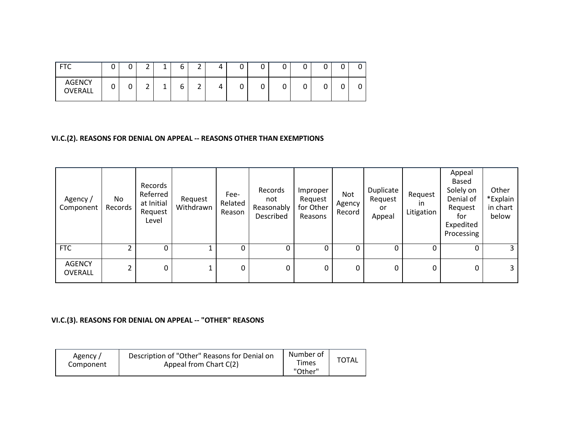| <b>FTC</b>               | ╭<br>ີ | ⌒<br>ັ          | $\overline{\phantom{0}}$<br>∸ | л<br><b>.</b> | ╭<br>t | $\mathbf{\hat{}}$<br><u>.</u> | л<br>4 | ∽<br>ັ | ⌒<br>ັ | ັ |  |  |
|--------------------------|--------|-----------------|-------------------------------|---------------|--------|-------------------------------|--------|--------|--------|---|--|--|
| <b>AGENCY</b><br>OVERALL | ⌒<br>ີ | $\sqrt{2}$<br>ັ | $\overline{\phantom{0}}$<br>∸ | л<br><b>.</b> | ∽<br>u | $\mathbf{\hat{}}$<br>-        | л<br>4 | ∽<br>ັ | ∽<br>ັ | ັ |  |  |

## **VI.C.(2). REASONS FOR DENIAL ON APPEAL -- REASONS OTHER THAN EXEMPTIONS**

| Agency/<br>Component            | No<br>Records | Records<br>Referred<br>at Initial<br>Request<br>Level | Request<br>Withdrawn | Fee-<br>Related<br>Reason | Records<br>not<br>Reasonably<br>Described | Improper<br>Request<br>for Other<br>Reasons | Not<br>Agency<br>Record | Duplicate<br>Request<br>or<br>Appeal | Request<br>ın<br>Litigation | Appeal<br>Based<br>Solely on<br>Denial of<br>Request<br>for<br>Expedited<br>Processing | Other<br>*Explain<br>in chart<br>below |
|---------------------------------|---------------|-------------------------------------------------------|----------------------|---------------------------|-------------------------------------------|---------------------------------------------|-------------------------|--------------------------------------|-----------------------------|----------------------------------------------------------------------------------------|----------------------------------------|
| <b>FTC</b>                      |               |                                                       |                      | 0                         | 0                                         | 0                                           | 0                       |                                      |                             | 0                                                                                      | 3                                      |
| <b>AGENCY</b><br><b>OVERALL</b> | 2             | 0                                                     |                      | 0                         | 0                                         | 0                                           | 0                       | 0                                    | 0                           | 0                                                                                      | 3                                      |

## **VI.C.(3). REASONS FOR DENIAL ON APPEAL -- "OTHER" REASONS**

| Agency /<br>Component | Description of "Other" Reasons for Denial on<br>Appeal from Chart C(2) | Number of<br><b>Times</b><br>"Other" | <b>TOTAL</b> |
|-----------------------|------------------------------------------------------------------------|--------------------------------------|--------------|
|-----------------------|------------------------------------------------------------------------|--------------------------------------|--------------|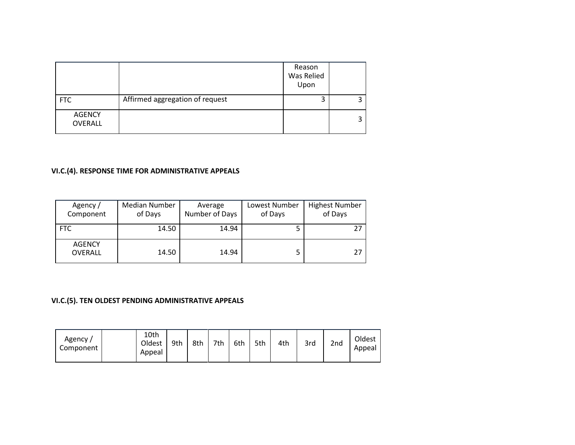|                                 |                                 | Reason<br>Was Relied<br>Upon |  |
|---------------------------------|---------------------------------|------------------------------|--|
| <b>FTC</b>                      | Affirmed aggregation of request | 3                            |  |
| <b>AGENCY</b><br><b>OVERALL</b> |                                 |                              |  |

# **VI.C.(4). RESPONSE TIME FOR ADMINISTRATIVE APPEALS**

| Agency /<br>Component           | Median Number<br>of Days | Average<br>Number of Days | Lowest Number<br>of Days | <b>Highest Number</b><br>of Days |
|---------------------------------|--------------------------|---------------------------|--------------------------|----------------------------------|
| FTC                             | 14.50                    | 14.94                     |                          | 27                               |
| <b>AGENCY</b><br><b>OVERALL</b> | 14.50                    | 14.94                     | 5                        | 27                               |

# **VI.C.(5). TEN OLDEST PENDING ADMINISTRATIVE APPEALS**

| Oldest<br>3rd<br>2nd<br>7th<br>6th<br>5th<br>9th<br>8th<br>4th<br>Component<br>Appeal<br>Appeal |
|-------------------------------------------------------------------------------------------------|
|-------------------------------------------------------------------------------------------------|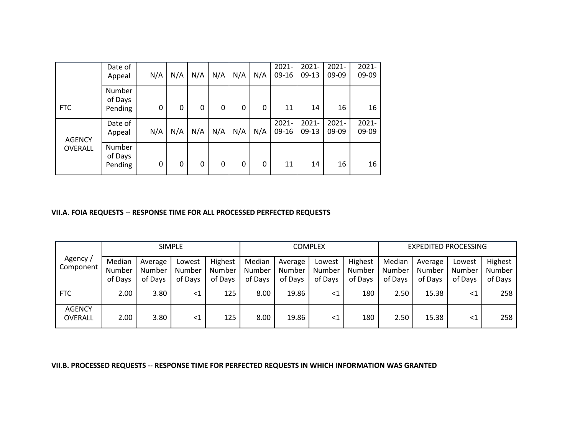|                | Date of<br>Appeal            | N/A | N/A | N/A | N/A | N/A          | N/A | $2021 -$<br>09-16   | $2021 -$<br>$09-13$ | $2021 -$<br>09-09 | $2021 -$<br>09-09 |
|----------------|------------------------------|-----|-----|-----|-----|--------------|-----|---------------------|---------------------|-------------------|-------------------|
| <b>FTC</b>     | Number<br>of Days<br>Pending | 0   | 0   | 0   | 0   | $\mathbf{0}$ | 0   | 11                  | 14                  | 16                | 16                |
| <b>AGENCY</b>  | Date of<br>Appeal            | N/A | N/A | N/A | N/A | N/A          | N/A | $2021 -$<br>$09-16$ | $2021 -$<br>$09-13$ | $2021 -$<br>09-09 | $2021 -$<br>09-09 |
| <b>OVERALL</b> | Number<br>of Days<br>Pending | 0   | 0   | 0   | 0   | $\mathbf{0}$ | 0   | 11                  | 14                  | 16                | 16                |

#### **VII.A. FOIA REQUESTS -- RESPONSE TIME FOR ALL PROCESSED PERFECTED REQUESTS**

|                                 |                             |                              | <b>SIMPLE</b>                      |                              |                             |                              | COMPLEX                     |                              | <b>EXPEDITED PROCESSING</b> |                              |                             |                              |  |  |
|---------------------------------|-----------------------------|------------------------------|------------------------------------|------------------------------|-----------------------------|------------------------------|-----------------------------|------------------------------|-----------------------------|------------------------------|-----------------------------|------------------------------|--|--|
| Agency/<br>Component            | Median<br>Number<br>of Days | Average<br>Number<br>of Days | Lowest<br><b>Number</b><br>of Days | Highest<br>Number<br>of Days | Median<br>Number<br>of Days | Average<br>Number<br>of Days | Lowest<br>Number<br>of Days | Highest<br>Number<br>of Days | Median<br>Number<br>of Days | Average<br>Number<br>of Days | Lowest<br>Number<br>of Davs | Highest<br>Number<br>of Days |  |  |
| <b>FTC</b>                      | 2.00                        | 3.80                         | $\leq 1$                           | 125                          | 8.00                        | 19.86                        | <1                          | 180                          | 2.50                        | 15.38                        | $\leq 1$                    | 258                          |  |  |
| <b>AGENCY</b><br><b>OVERALL</b> | 2.00                        | 3.80                         | <1                                 | 125                          | 8.00                        | 19.86                        | $\leq$ 1                    | 180                          | 2.50                        | 15.38                        | $\leq 1$                    | 258                          |  |  |

**VII.B. PROCESSED REQUESTS -- RESPONSE TIME FOR PERFECTED REQUESTS IN WHICH INFORMATION WAS GRANTED**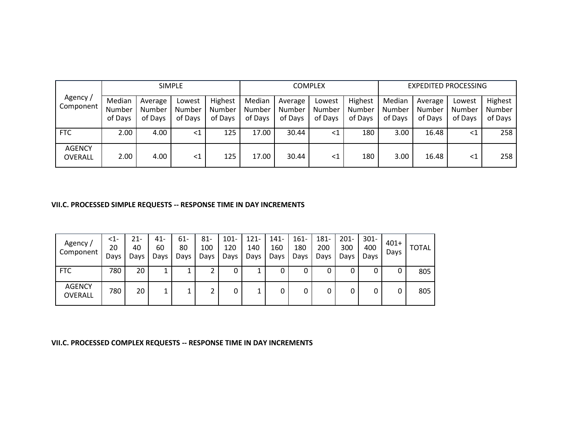|                          |                             |                              | <b>SIMPLE</b>               |                              |                             |                              | <b>COMPLEX</b>              |                              | <b>EXPEDITED PROCESSING</b> |                              |                             |                              |  |  |
|--------------------------|-----------------------------|------------------------------|-----------------------------|------------------------------|-----------------------------|------------------------------|-----------------------------|------------------------------|-----------------------------|------------------------------|-----------------------------|------------------------------|--|--|
| Agency/<br>Component     | Median<br>Number<br>of Days | Average<br>Number<br>of Days | Lowest<br>Number<br>of Days | Highest<br>Number<br>of Days | Median<br>Number<br>of Days | Average<br>Number<br>of Days | Lowest<br>Number<br>of Days | Highest<br>Number<br>of Days | Median<br>Number<br>of Days | Average<br>Number<br>of Days | Lowest<br>Number<br>of Days | Highest<br>Number<br>of Days |  |  |
| <b>FTC</b>               | 2.00                        | 4.00                         | <1                          | 125                          | 17.00                       | 30.44                        | <1                          | 180                          | 3.00                        | 16.48                        | ${<}1$                      | 258                          |  |  |
| <b>AGENCY</b><br>OVERALL | 2.00                        | 4.00                         | <1                          | 125                          | 17.00                       | 30.44                        | <1                          | 180                          | 3.00                        | 16.48                        | $\leq 1$                    | 258                          |  |  |

#### **VII.C. PROCESSED SIMPLE REQUESTS -- RESPONSE TIME IN DAY INCREMENTS**

| Agency /<br>Component           | $\leq$ 1-<br>20<br>Days | 21-<br>40<br>Days | 41-<br>60<br>Days | 61-<br>80<br>Days | $81 -$<br>100<br>Days | $101 -$<br>120<br>Days | $121 -$<br>140<br>Days | $141 -$<br>160<br>Days | $161 -$<br>180<br>Days | 181-<br>200<br>Days | $201 -$<br>300<br>Days | $301 -$<br>400<br>Days | $401+$<br>Days | <b>TOTAL</b> |
|---------------------------------|-------------------------|-------------------|-------------------|-------------------|-----------------------|------------------------|------------------------|------------------------|------------------------|---------------------|------------------------|------------------------|----------------|--------------|
| <b>FTC</b>                      | 780                     | 20                | ┻                 |                   |                       | U                      | ┻                      |                        | U                      | 0                   | 0                      | U                      | 0              | 805          |
| <b>AGENCY</b><br><b>OVERALL</b> | 780                     | 20                | ı.                |                   |                       |                        |                        |                        |                        | 0                   |                        | 0                      | 0              | 805          |

**VII.C. PROCESSED COMPLEX REQUESTS -- RESPONSE TIME IN DAY INCREMENTS**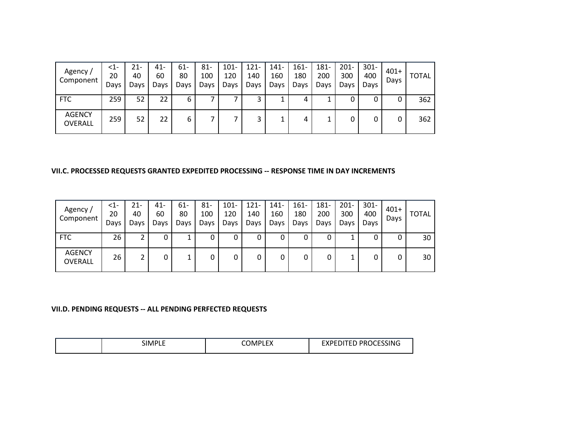| Agency /<br>Component           | <1-<br>20<br>Days | 21-<br>40<br>Days | 41-<br>60<br>Days | 61-<br>80<br>Days | $81 -$<br>100<br>Days | $101 -$<br>120<br>Days | $121 -$<br>140<br>Days | $141 -$<br>160<br>Days | $161 -$<br>180<br>Days | 181-<br>200<br>Days | $201 -$<br>300<br>Days | $301 -$<br>400<br>Days | $401+$<br>Days | <b>TOTAL</b> |
|---------------------------------|-------------------|-------------------|-------------------|-------------------|-----------------------|------------------------|------------------------|------------------------|------------------------|---------------------|------------------------|------------------------|----------------|--------------|
| <b>FTC</b>                      | 259               | 52                | 22                | 6                 |                       |                        | 3                      |                        | 4                      |                     |                        |                        | 0              | 362          |
| <b>AGENCY</b><br><b>OVERALL</b> | 259               | 52                | 22                | 6                 |                       |                        | 3                      |                        | 4                      |                     |                        |                        | 0              | 362          |

#### **VII.C. PROCESSED REQUESTS GRANTED EXPEDITED PROCESSING -- RESPONSE TIME IN DAY INCREMENTS**

| Agency/<br>Component            | $\leq$ 1-<br>20<br>Days | 21-<br>40<br>Days | 41-<br>60<br>Days | 61-<br>80<br>Days | 81-<br>100<br>Days | $101 -$<br>120<br>Days | $121 -$<br>140<br>Days | 141-<br>160<br>Days | $161 -$<br>180<br>Days | 181-<br>200<br>Days | $201 -$<br>300<br>Days | $301 -$<br>400<br>Days | $401+$<br>Days | <b>TOTAL</b> |
|---------------------------------|-------------------------|-------------------|-------------------|-------------------|--------------------|------------------------|------------------------|---------------------|------------------------|---------------------|------------------------|------------------------|----------------|--------------|
| <b>FTC</b>                      | 26                      |                   | U                 |                   | υ                  |                        | 0                      |                     | υ                      | 0                   |                        |                        | U              | 30           |
| <b>AGENCY</b><br><b>OVERALL</b> | 26                      |                   | 0                 |                   |                    | 0                      | 0                      |                     | 0                      | 0                   |                        |                        | 0              | 30           |

#### **VII.D. PENDING REQUESTS -- ALL PENDING PERFECTED REQUESTS**

| <b>SIMPLE</b> | $\mathbf{r}$<br>COMP'<br>ᄔᄭ | <b>EXPEDITED PROCESSING</b><br>ש ווט זי |
|---------------|-----------------------------|-----------------------------------------|
|---------------|-----------------------------|-----------------------------------------|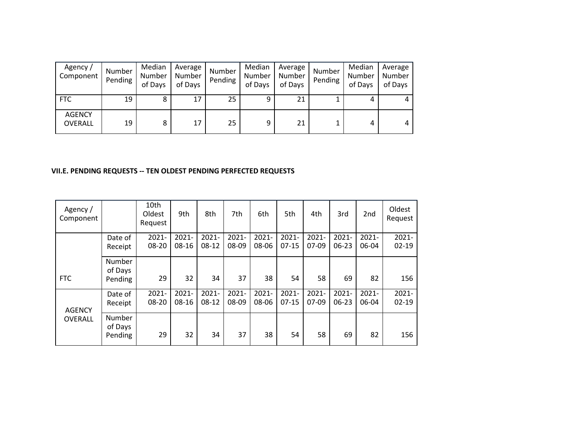| Agency /<br>Component           | Number<br>Pending | Median<br>Number<br>of Days | Average<br>Number<br>of Days | Number<br>Pending | Median<br>Number<br>of Days | Average<br>Number<br>of Days | Number<br>Pending | Median<br>Number<br>of Days | Average<br>Number<br>of Days |
|---------------------------------|-------------------|-----------------------------|------------------------------|-------------------|-----------------------------|------------------------------|-------------------|-----------------------------|------------------------------|
| <b>FTC</b>                      | 19                | 8                           | 17                           | 25                | 9                           | 21                           |                   | 4                           | 4                            |
| <b>AGENCY</b><br><b>OVERALL</b> | 19                | 8                           | 17                           | 25                | 9                           | 21                           |                   | 4                           | 4                            |

### **VII.E. PENDING REQUESTS -- TEN OLDEST PENDING PERFECTED REQUESTS**

| Agency /<br>Component |                              | 10th<br>Oldest<br>Request | 9th               | 8th                 | 7th               | 6th               | 5th                 | 4th                 | 3rd                   | 2 <sub>nd</sub>   | Oldest<br>Request     |
|-----------------------|------------------------------|---------------------------|-------------------|---------------------|-------------------|-------------------|---------------------|---------------------|-----------------------|-------------------|-----------------------|
|                       | Date of<br>Receipt           | $2021 -$<br>08-20         | $2021 -$<br>08-16 | $2021 -$<br>$08-12$ | $2021 -$<br>08-09 | $2021 -$<br>08-06 | $2021 -$<br>$07-15$ | $2021 -$<br>$07-09$ | $2021 -$<br>$06 - 23$ | $2021 -$<br>06-04 | $2021 -$<br>$02 - 19$ |
| <b>FTC</b>            | Number<br>of Days<br>Pending | 29                        | 32                | 34                  | 37                | 38                | 54                  | 58                  | 69                    | 82                | 156                   |
| <b>AGENCY</b>         | Date of<br>Receipt           | $2021 -$<br>08-20         | $2021 -$<br>08-16 | $2021 -$<br>$08-12$ | $2021 -$<br>08-09 | $2021 -$<br>08-06 | $2021 -$<br>$07-15$ | $2021 -$<br>$07-09$ | $2021 -$<br>$06 - 23$ | $2021 -$<br>06-04 | $2021 -$<br>$02 - 19$ |
| <b>OVERALL</b>        | Number<br>of Days<br>Pending | 29                        | 32                | 34                  | 37                | 38                | 54                  | 58                  | 69                    | 82                | 156                   |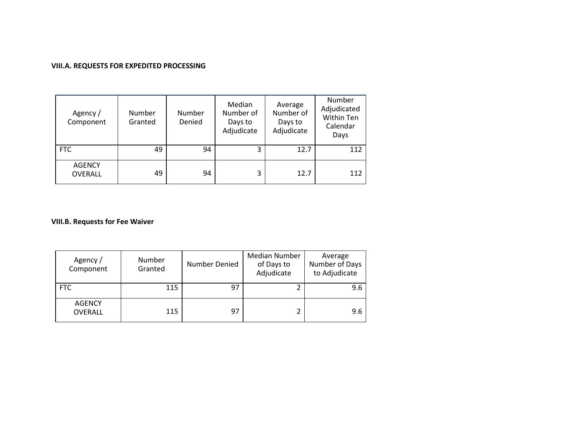## **VIII.A. REQUESTS FOR EXPEDITED PROCESSING**

| Agency /<br>Component           | <b>Number</b><br>Granted | Number<br>Denied | Median<br>Number of<br>Days to<br>Adjudicate | Average<br>Number of<br>Days to<br>Adjudicate | Number<br>Adjudicated<br>Within Ten<br>Calendar<br>Days |
|---------------------------------|--------------------------|------------------|----------------------------------------------|-----------------------------------------------|---------------------------------------------------------|
| <b>FTC</b>                      | 49                       | 94               | 3                                            | 12.7                                          | 112                                                     |
| <b>AGENCY</b><br><b>OVERALL</b> | 49                       | 94               | 3                                            | 12.7                                          | 112                                                     |

## **VIII.B. Requests for Fee Waiver**

| Agency /<br>Component           | <b>Number</b><br>Granted | Number Denied | Median Number<br>of Days to<br>Adjudicate | Average<br>Number of Days<br>to Adjudicate |
|---------------------------------|--------------------------|---------------|-------------------------------------------|--------------------------------------------|
| <b>FTC</b>                      | 115                      | 97            |                                           | 9.6                                        |
| <b>AGENCY</b><br><b>OVERALL</b> | 115                      | 97            |                                           | 9.6                                        |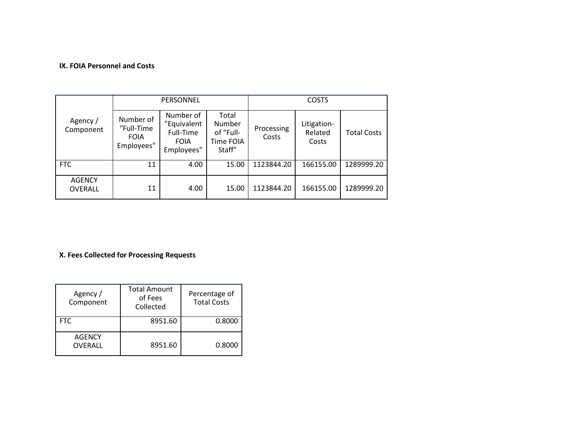### **IX. FOIA Personnel and Costs**

|                                 |                                                      | PERSONNEL                                                          |                                                     | <b>COSTS</b>        |                                 |                    |  |
|---------------------------------|------------------------------------------------------|--------------------------------------------------------------------|-----------------------------------------------------|---------------------|---------------------------------|--------------------|--|
| Agency /<br>Component           | Number of<br>"Full-Time<br><b>FOIA</b><br>Employees" | Number of<br>"Equivalent<br>Full-Time<br><b>FOIA</b><br>Employees" | Total<br>Number<br>of "Full-<br>Time FOIA<br>Staff" | Processing<br>Costs | Litigation-<br>Related<br>Costs | <b>Total Costs</b> |  |
| <b>FTC</b>                      | 11                                                   | 4.00                                                               | 15.00                                               | 1123844.20          | 166155.00                       | 1289999.20         |  |
| <b>AGENCY</b><br><b>OVERALL</b> | 11                                                   | 4.00                                                               | 15.00                                               | 1123844.20          | 166155.00                       | 1289999.20         |  |

# **X. Fees Collected for Processing Requests**

| Agency /<br>Component    | <b>Total Amount</b><br>of Fees<br>Collected | Percentage of<br><b>Total Costs</b> |
|--------------------------|---------------------------------------------|-------------------------------------|
| FTC.                     | 8951.60                                     | 0.8000                              |
| <b>AGENCY</b><br>OVERALL | 8951.60                                     | 0.8000                              |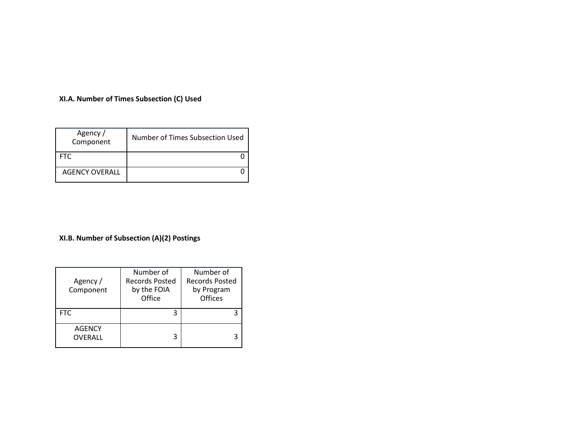## **XI.A. Number of Times Subsection (C) Used**

| Agency /<br>Component | Number of Times Subsection Used |
|-----------------------|---------------------------------|
| <b>FTC</b>            |                                 |
| <b>AGENCY OVERALL</b> |                                 |

# **XI.B. Number of Subsection (A)(2) Postings**

| Agency /<br>Component           | Number of<br><b>Records Posted</b><br>by the FOIA<br>Office | Number of<br><b>Records Posted</b><br>by Program<br>Offices |
|---------------------------------|-------------------------------------------------------------|-------------------------------------------------------------|
| <b>FTC</b>                      | 3                                                           | 3                                                           |
| <b>AGENCY</b><br><b>OVERALL</b> | 3                                                           | 3                                                           |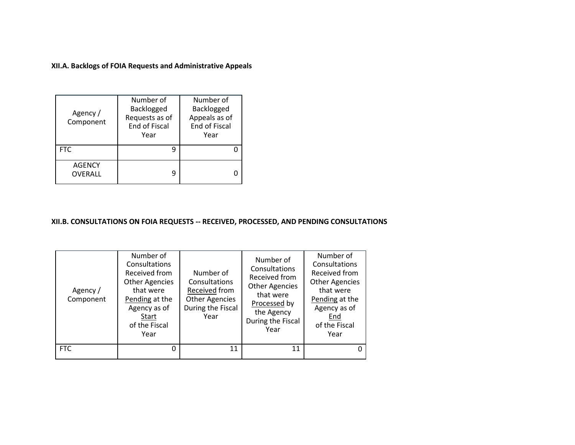**XII.A. Backlogs of FOIA Requests and Administrative Appeals**

| Agency /<br>Component           | Number of<br>Backlogged<br>Requests as of<br>End of Fiscal<br>Year | Number of<br>Backlogged<br>Appeals as of<br>End of Fiscal<br>Year |  |
|---------------------------------|--------------------------------------------------------------------|-------------------------------------------------------------------|--|
| <b>FTC</b>                      |                                                                    |                                                                   |  |
| <b>AGENCY</b><br><b>OVERALL</b> | q                                                                  |                                                                   |  |

## **XII.B. CONSULTATIONS ON FOIA REQUESTS -- RECEIVED, PROCESSED, AND PENDING CONSULTATIONS**

| Agency /<br>Component | Number of<br>Consultations<br>Received from<br><b>Other Agencies</b><br>that were<br>Pending at the<br>Agency as of<br>Start<br>of the Fiscal<br>Year | Number of<br>Consultations<br>Received from<br><b>Other Agencies</b><br>During the Fiscal<br>Year | Number of<br>Consultations<br>Received from<br><b>Other Agencies</b><br>that were<br>Processed by<br>the Agency<br>During the Fiscal<br>Year | Number of<br>Consultations<br>Received from<br><b>Other Agencies</b><br>that were<br>Pending at the<br>Agency as of<br>End<br>of the Fiscal<br>Year |
|-----------------------|-------------------------------------------------------------------------------------------------------------------------------------------------------|---------------------------------------------------------------------------------------------------|----------------------------------------------------------------------------------------------------------------------------------------------|-----------------------------------------------------------------------------------------------------------------------------------------------------|
| <b>FTC</b>            | 0                                                                                                                                                     | 11                                                                                                | 11                                                                                                                                           |                                                                                                                                                     |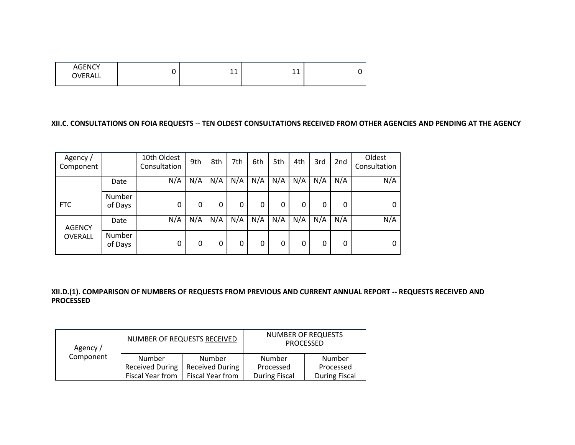| <b>AGENCY</b><br>OVERALL | $\overline{A}$<br><b>. .</b><br>-- | 1 <sub>A</sub><br>. . |  |
|--------------------------|------------------------------------|-----------------------|--|
|                          |                                    |                       |  |

### **XII.C. CONSULTATIONS ON FOIA REQUESTS -- TEN OLDEST CONSULTATIONS RECEIVED FROM OTHER AGENCIES AND PENDING AT THE AGENCY**

| Agency/<br>Component |                   | 10th Oldest<br>Consultation | 9th | 8th | 7th | 6th | 5th | 4th | 3rd | 2 <sub>nd</sub> | Oldest<br>Consultation |
|----------------------|-------------------|-----------------------------|-----|-----|-----|-----|-----|-----|-----|-----------------|------------------------|
|                      | Date              | N/A                         | N/A | N/A | N/A | N/A | N/A | N/A | N/A | N/A             | N/A                    |
| <b>FTC</b>           | Number<br>of Days | 0                           | 0   | 0   | 0   | 0   | 0   | 0   | 0   | 0               | 0                      |
| <b>AGENCY</b>        | Date              | N/A                         | N/A | N/A | N/A | N/A | N/A | N/A | N/A | N/A             | N/A                    |
| OVERALL              | Number<br>of Days | 0                           | 0   | 0   | 0   | 0   | 0   | 0   | 0   | 0               | 0                      |

### **XII.D.(1). COMPARISON OF NUMBERS OF REQUESTS FROM PREVIOUS AND CURRENT ANNUAL REPORT -- REQUESTS RECEIVED AND PROCESSED**

| Agency /  |                        | NUMBER OF REQUESTS RECEIVED | NUMBER OF REQUESTS<br>PROCESSED |                      |  |
|-----------|------------------------|-----------------------------|---------------------------------|----------------------|--|
| Component | Number                 | Number                      | Number                          | Number               |  |
|           | <b>Received During</b> | <b>Received During</b>      | Processed                       | Processed            |  |
|           | Fiscal Year from       | Fiscal Year from            | <b>During Fiscal</b>            | <b>During Fiscal</b> |  |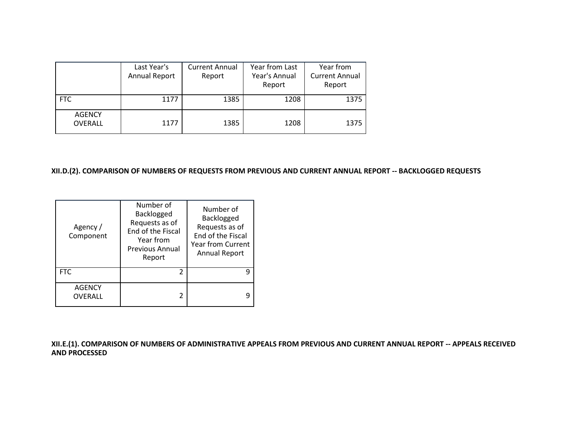|                                 | Last Year's<br>Annual Report | <b>Current Annual</b><br>Report | Year from Last<br>Year's Annual<br>Report | Year from<br><b>Current Annual</b><br>Report |
|---------------------------------|------------------------------|---------------------------------|-------------------------------------------|----------------------------------------------|
| <b>FTC</b>                      | 1177                         | 1385                            | 1208                                      | 1375                                         |
| <b>AGENCY</b><br><b>OVERALL</b> | 1177                         | 1385                            | 1208                                      | 1375                                         |

## **XII.D.(2). COMPARISON OF NUMBERS OF REQUESTS FROM PREVIOUS AND CURRENT ANNUAL REPORT -- BACKLOGGED REQUESTS**

| Agency /<br>Component    | Number of<br>Backlogged<br>Requests as of<br><b>End of the Fiscal</b><br>Year from<br><b>Previous Annual</b><br>Report | Number of<br>Backlogged<br>Requests as of<br><b>End of the Fiscal</b><br><b>Year from Current</b><br><b>Annual Report</b> |
|--------------------------|------------------------------------------------------------------------------------------------------------------------|---------------------------------------------------------------------------------------------------------------------------|
| <b>FTC</b>               | 2                                                                                                                      |                                                                                                                           |
| <b>AGENCY</b><br>OVERALL | 2                                                                                                                      |                                                                                                                           |

**XII.E.(1). COMPARISON OF NUMBERS OF ADMINISTRATIVE APPEALS FROM PREVIOUS AND CURRENT ANNUAL REPORT -- APPEALS RECEIVED AND PROCESSED**